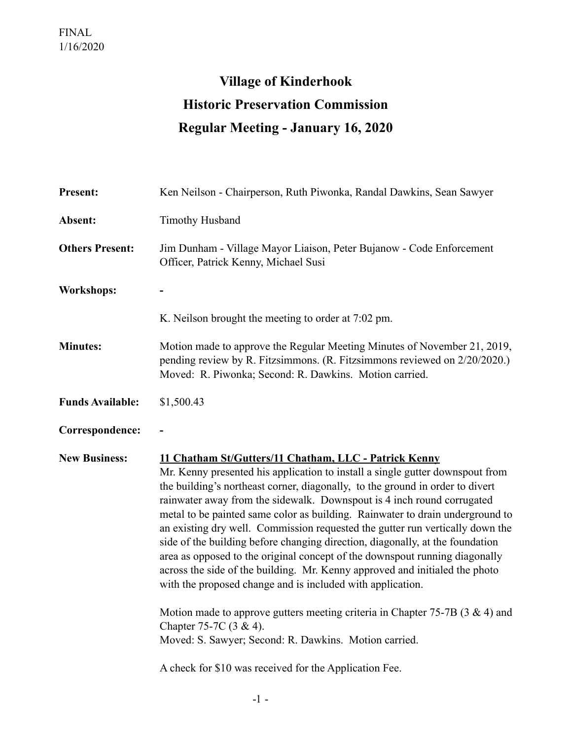## **Village of Kinderhook Historic Preservation Commission Regular Meeting - January 16, 2020**

| <b>Present:</b>         | Ken Neilson - Chairperson, Ruth Piwonka, Randal Dawkins, Sean Sawyer                                                                                                                                                                                                                                                                                                                                                                                                                                                                                                                                                                                                                                                                                                                                                                                                                                                                                                                                                 |
|-------------------------|----------------------------------------------------------------------------------------------------------------------------------------------------------------------------------------------------------------------------------------------------------------------------------------------------------------------------------------------------------------------------------------------------------------------------------------------------------------------------------------------------------------------------------------------------------------------------------------------------------------------------------------------------------------------------------------------------------------------------------------------------------------------------------------------------------------------------------------------------------------------------------------------------------------------------------------------------------------------------------------------------------------------|
| Absent:                 | <b>Timothy Husband</b>                                                                                                                                                                                                                                                                                                                                                                                                                                                                                                                                                                                                                                                                                                                                                                                                                                                                                                                                                                                               |
| <b>Others Present:</b>  | Jim Dunham - Village Mayor Liaison, Peter Bujanow - Code Enforcement<br>Officer, Patrick Kenny, Michael Susi                                                                                                                                                                                                                                                                                                                                                                                                                                                                                                                                                                                                                                                                                                                                                                                                                                                                                                         |
| <b>Workshops:</b>       |                                                                                                                                                                                                                                                                                                                                                                                                                                                                                                                                                                                                                                                                                                                                                                                                                                                                                                                                                                                                                      |
|                         | K. Neilson brought the meeting to order at 7:02 pm.                                                                                                                                                                                                                                                                                                                                                                                                                                                                                                                                                                                                                                                                                                                                                                                                                                                                                                                                                                  |
| <b>Minutes:</b>         | Motion made to approve the Regular Meeting Minutes of November 21, 2019,<br>pending review by R. Fitzsimmons. (R. Fitzsimmons reviewed on 2/20/2020.)<br>Moved: R. Piwonka; Second: R. Dawkins. Motion carried.                                                                                                                                                                                                                                                                                                                                                                                                                                                                                                                                                                                                                                                                                                                                                                                                      |
| <b>Funds Available:</b> | \$1,500.43                                                                                                                                                                                                                                                                                                                                                                                                                                                                                                                                                                                                                                                                                                                                                                                                                                                                                                                                                                                                           |
| Correspondence:         |                                                                                                                                                                                                                                                                                                                                                                                                                                                                                                                                                                                                                                                                                                                                                                                                                                                                                                                                                                                                                      |
| <b>New Business:</b>    | 11 Chatham St/Gutters/11 Chatham, LLC - Patrick Kenny<br>Mr. Kenny presented his application to install a single gutter downspout from<br>the building's northeast corner, diagonally, to the ground in order to divert<br>rainwater away from the sidewalk. Downspout is 4 inch round corrugated<br>metal to be painted same color as building. Rainwater to drain underground to<br>an existing dry well. Commission requested the gutter run vertically down the<br>side of the building before changing direction, diagonally, at the foundation<br>area as opposed to the original concept of the downspout running diagonally<br>across the side of the building. Mr. Kenny approved and initialed the photo<br>with the proposed change and is included with application.<br>Motion made to approve gutters meeting criteria in Chapter 75-7B $(3 \& 4)$ and<br>Chapter 75-7C $(3 \& 4)$ .<br>Moved: S. Sawyer; Second: R. Dawkins. Motion carried.<br>A check for \$10 was received for the Application Fee. |